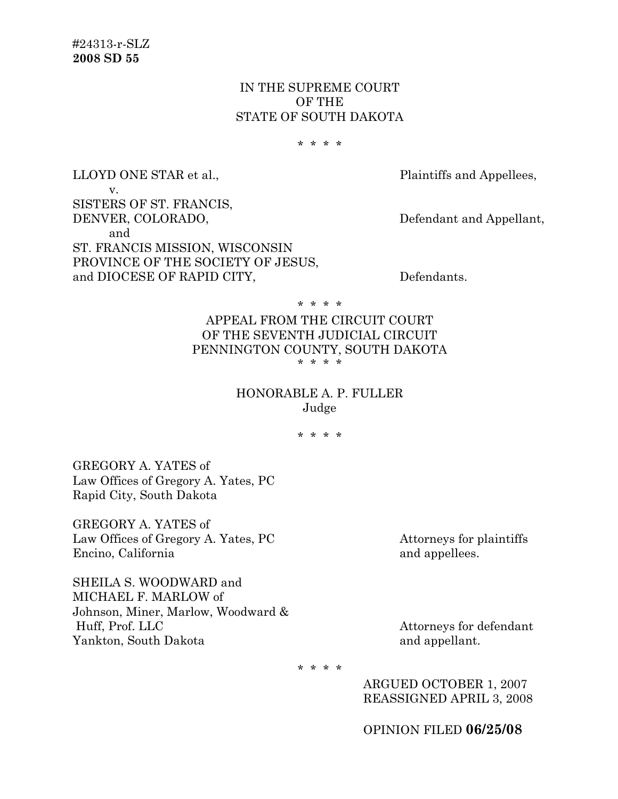# IN THE SUPREME COURT OF THE STATE OF SOUTH DAKOTA

\* \* \* \*

LLOYD ONE STAR et al., Plaintiffs and Appellees, v. SISTERS OF ST. FRANCIS, DENVER, COLORADO, Defendant and Appellant, and ST. FRANCIS MISSION, WISCONSIN PROVINCE OF THE SOCIETY OF JESUS,

and DIOCESE OF RAPID CITY, Defendants.

\* \* \* \*

### APPEAL FROM THE CIRCUIT COURT OF THE SEVENTH JUDICIAL CIRCUIT PENNINGTON COUNTY, SOUTH DAKOTA \* \* \* \*

## HONORABLE A. P. FULLER Judge

\* \* \* \*

GREGORY A. YATES of Law Offices of Gregory A. Yates, PC Rapid City, South Dakota

GREGORY A. YATES of Law Offices of Gregory A. Yates, PC Attorneys for plaintiffs Encino, California and appellees.

SHEILA S. WOODWARD and MICHAEL F. MARLOW of Johnson, Miner, Marlow, Woodward & Huff, Prof. LLC Attorneys for defendant Yankton, South Dakota **and appellant**.

\* \* \* \*

 ARGUED OCTOBER 1, 2007 REASSIGNED APRIL 3, 2008

OPINION FILED **06/25/08**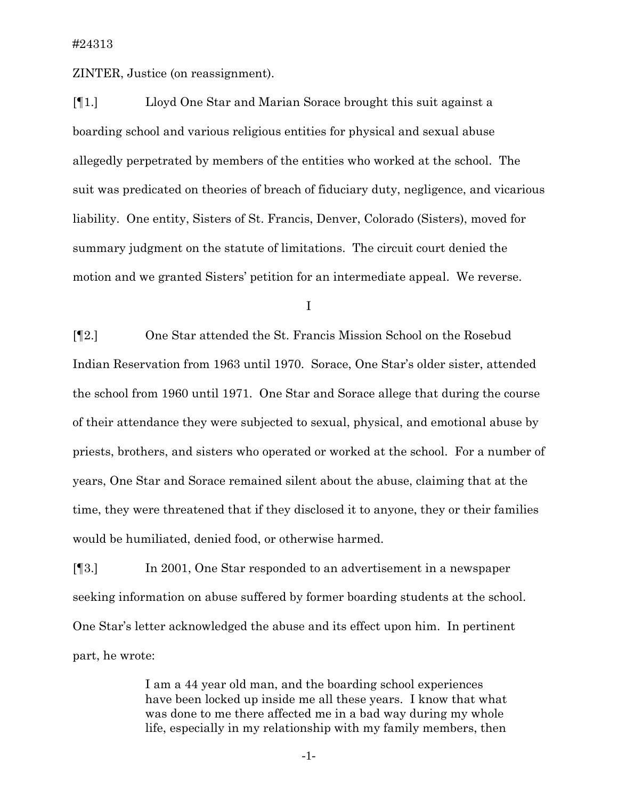ZINTER, Justice (on reassignment).

[¶1.] Lloyd One Star and Marian Sorace brought this suit against a boarding school and various religious entities for physical and sexual abuse allegedly perpetrated by members of the entities who worked at the school. The suit was predicated on theories of breach of fiduciary duty, negligence, and vicarious liability. One entity, Sisters of St. Francis, Denver, Colorado (Sisters), moved for summary judgment on the statute of limitations. The circuit court denied the motion and we granted Sisters' petition for an intermediate appeal. We reverse.

I

[¶2.] One Star attended the St. Francis Mission School on the Rosebud Indian Reservation from 1963 until 1970. Sorace, One Star's older sister, attended the school from 1960 until 1971. One Star and Sorace allege that during the course of their attendance they were subjected to sexual, physical, and emotional abuse by priests, brothers, and sisters who operated or worked at the school. For a number of years, One Star and Sorace remained silent about the abuse, claiming that at the time, they were threatened that if they disclosed it to anyone, they or their families would be humiliated, denied food, or otherwise harmed.

[¶3.] In 2001, One Star responded to an advertisement in a newspaper seeking information on abuse suffered by former boarding students at the school. One Star's letter acknowledged the abuse and its effect upon him. In pertinent part, he wrote:

> I am a 44 year old man, and the boarding school experiences have been locked up inside me all these years. I know that what was done to me there affected me in a bad way during my whole life, especially in my relationship with my family members, then

> > -1-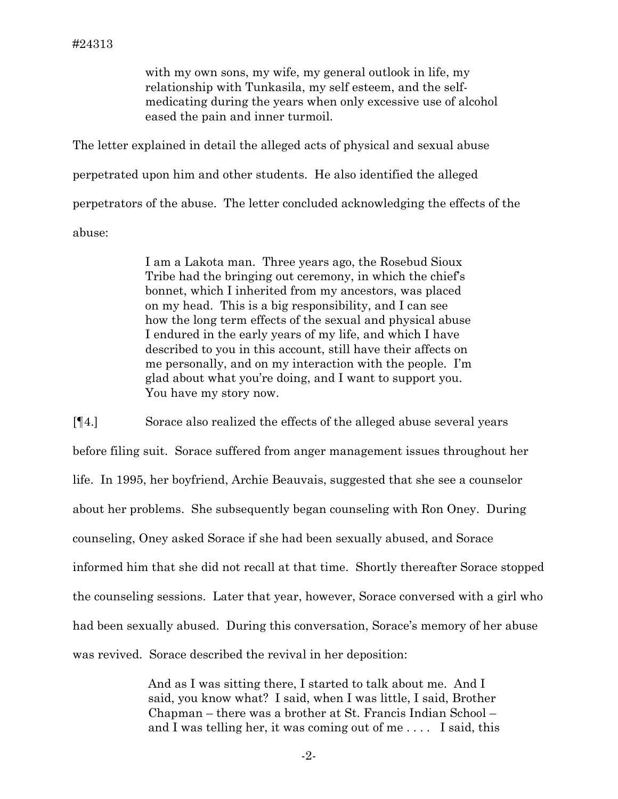with my own sons, my wife, my general outlook in life, my relationship with Tunkasila, my self esteem, and the selfmedicating during the years when only excessive use of alcohol eased the pain and inner turmoil.

The letter explained in detail the alleged acts of physical and sexual abuse perpetrated upon him and other students. He also identified the alleged perpetrators of the abuse. The letter concluded acknowledging the effects of the abuse:

> I am a Lakota man. Three years ago, the Rosebud Sioux Tribe had the bringing out ceremony, in which the chief's bonnet, which I inherited from my ancestors, was placed on my head. This is a big responsibility, and I can see how the long term effects of the sexual and physical abuse I endured in the early years of my life, and which I have described to you in this account, still have their affects on me personally, and on my interaction with the people. I'm glad about what you're doing, and I want to support you. You have my story now.

[¶4.] Sorace also realized the effects of the alleged abuse several years before filing suit. Sorace suffered from anger management issues throughout her life. In 1995, her boyfriend, Archie Beauvais, suggested that she see a counselor about her problems. She subsequently began counseling with Ron Oney. During counseling, Oney asked Sorace if she had been sexually abused, and Sorace informed him that she did not recall at that time. Shortly thereafter Sorace stopped the counseling sessions. Later that year, however, Sorace conversed with a girl who had been sexually abused. During this conversation, Sorace's memory of her abuse was revived. Sorace described the revival in her deposition:

> And as I was sitting there, I started to talk about me. And I said, you know what? I said, when I was little, I said, Brother Chapman – there was a brother at St. Francis Indian School – and I was telling her, it was coming out of me . . . . I said, this

> > -2-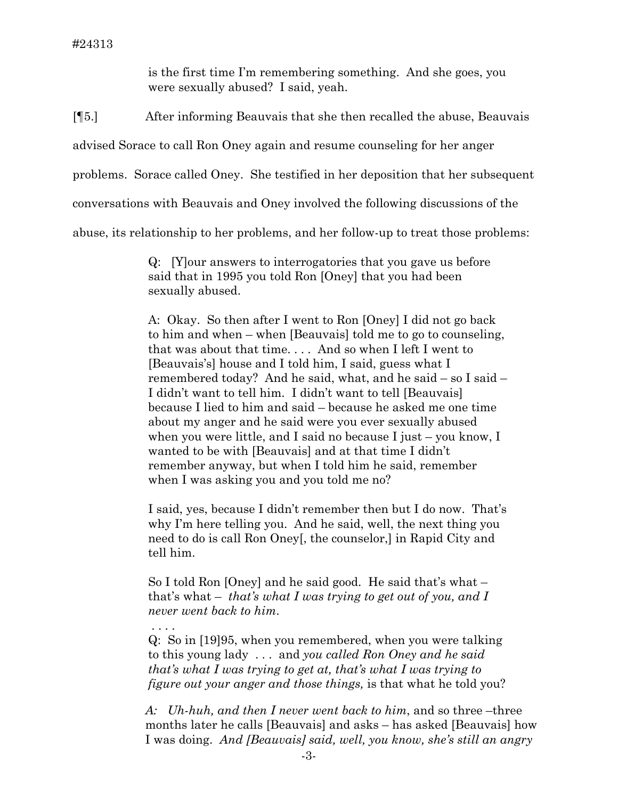is the first time I'm remembering something. And she goes, you were sexually abused? I said, yeah.

[¶5.] After informing Beauvais that she then recalled the abuse, Beauvais

advised Sorace to call Ron Oney again and resume counseling for her anger

problems. Sorace called Oney. She testified in her deposition that her subsequent

conversations with Beauvais and Oney involved the following discussions of the

abuse, its relationship to her problems, and her follow-up to treat those problems:

Q: [Y]our answers to interrogatories that you gave us before said that in 1995 you told Ron [Oney] that you had been sexually abused.

A: Okay. So then after I went to Ron [Oney] I did not go back to him and when – when [Beauvais] told me to go to counseling, that was about that time. . . . And so when I left I went to [Beauvais's] house and I told him, I said, guess what I remembered today? And he said, what, and he said – so I said – I didn't want to tell him. I didn't want to tell [Beauvais] because I lied to him and said – because he asked me one time about my anger and he said were you ever sexually abused when you were little, and I said no because I just – you know, I wanted to be with [Beauvais] and at that time I didn't remember anyway, but when I told him he said, remember when I was asking you and you told me no?

I said, yes, because I didn't remember then but I do now. That's why I'm here telling you. And he said, well, the next thing you need to do is call Ron Oney[, the counselor,] in Rapid City and tell him.

So I told Ron [Oney] and he said good. He said that's what – that's what – *that's what I was trying to get out of you, and I never went back to him*.

. . . .

Q: So in [19]95, when you remembered, when you were talking to this young lady . . . and *you called Ron Oney and he said that's what I was trying to get at, that's what I was trying to figure out your anger and those things,* is that what he told you?

*A: Uh-huh, and then I never went back to him*, and so three –three months later he calls [Beauvais] and asks – has asked [Beauvais] how I was doing. *And [Beauvais] said, well, you know, she's still an angry*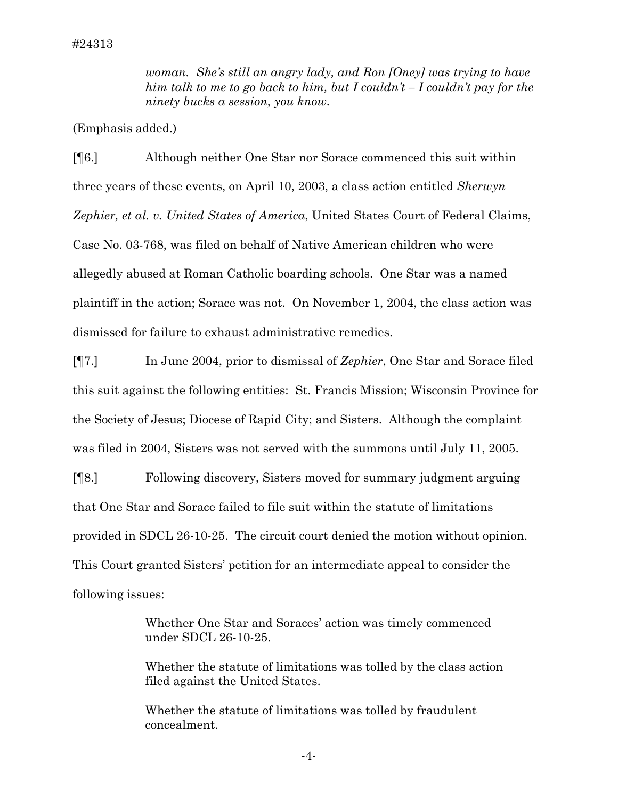*woman. She's still an angry lady, and Ron [Oney] was trying to have him talk to me to go back to him, but I couldn't – I couldn't pay for the ninety bucks a session, you know.*

(Emphasis added.)

[¶6.] Although neither One Star nor Sorace commenced this suit within three years of these events, on April 10, 2003, a class action entitled *Sherwyn Zephier, et al. v. United States of America*, United States Court of Federal Claims, Case No. 03-768, was filed on behalf of Native American children who were allegedly abused at Roman Catholic boarding schools. One Star was a named plaintiff in the action; Sorace was not. On November 1, 2004, the class action was dismissed for failure to exhaust administrative remedies.

[¶7.] In June 2004, prior to dismissal of *Zephier*, One Star and Sorace filed this suit against the following entities: St. Francis Mission; Wisconsin Province for the Society of Jesus; Diocese of Rapid City; and Sisters. Although the complaint was filed in 2004, Sisters was not served with the summons until July 11, 2005.

[¶8.] Following discovery, Sisters moved for summary judgment arguing that One Star and Sorace failed to file suit within the statute of limitations provided in SDCL 26-10-25. The circuit court denied the motion without opinion. This Court granted Sisters' petition for an intermediate appeal to consider the following issues:

> Whether One Star and Soraces' action was timely commenced under SDCL 26-10-25.

Whether the statute of limitations was tolled by the class action filed against the United States.

Whether the statute of limitations was tolled by fraudulent concealment.

-4-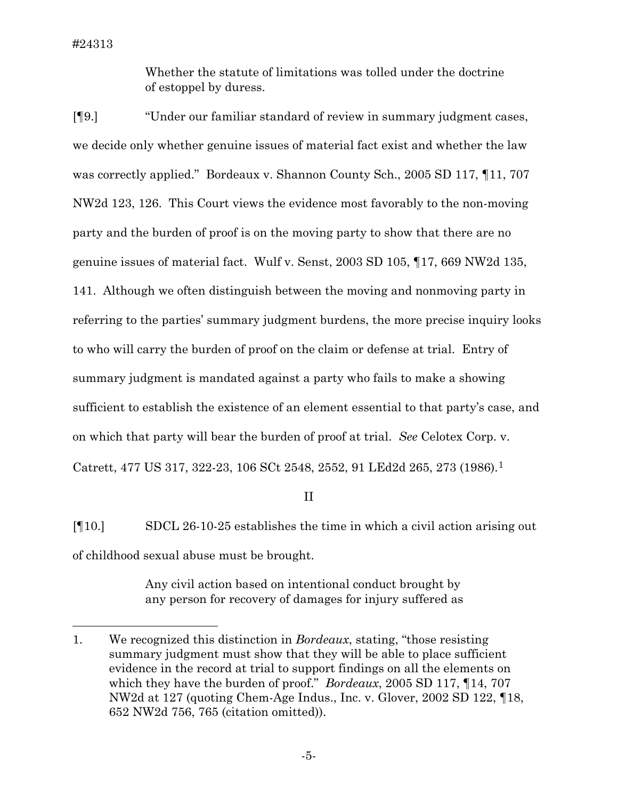$\overline{a}$ 

Whether the statute of limitations was tolled under the doctrine of estoppel by duress.

[¶9.] "Under our familiar standard of review in summary judgment cases, we decide only whether genuine issues of material fact exist and whether the law was correctly applied." Bordeaux v. Shannon County Sch., 2005 SD 117, ¶11, 707 NW2d 123, 126. This Court views the evidence most favorably to the non-moving party and the burden of proof is on the moving party to show that there are no genuine issues of material fact. Wulf v. Senst, 2003 SD 105, ¶17, 669 NW2d 135, 141. Although we often distinguish between the moving and nonmoving party in referring to the parties' summary judgment burdens, the more precise inquiry looks to who will carry the burden of proof on the claim or defense at trial. Entry of summary judgment is mandated against a party who fails to make a showing sufficient to establish the existence of an element essential to that party's case, and on which that party will bear the burden of proof at trial. *See* Celotex Corp. v. Catrett, 477 US 317, 322-23, 106 SCt 2548, 2552, 91 LEd2d 265, 273 (1986).[1](#page-5-0)

II

[¶10.] SDCL 26-10-25 establishes the time in which a civil action arising out of childhood sexual abuse must be brought.

> Any civil action based on intentional conduct brought by any person for recovery of damages for injury suffered as

<span id="page-5-0"></span><sup>1.</sup> We recognized this distinction in *Bordeaux*, stating, "those resisting summary judgment must show that they will be able to place sufficient evidence in the record at trial to support findings on all the elements on which they have the burden of proof." *Bordeaux*, 2005 SD 117, ¶14, 707 NW2d at 127 (quoting Chem-Age Indus., Inc. v. Glover, 2002 SD 122, ¶18, 652 NW2d 756, 765 (citation omitted)).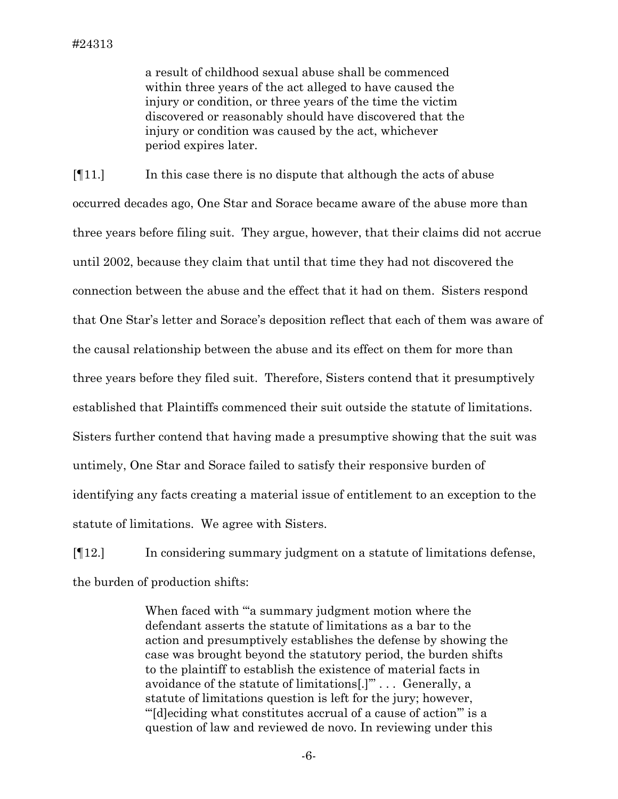a result of childhood sexual abuse shall be commenced within three years of the act alleged to have caused the injury or condition, or three years of the time the victim discovered or reasonably should have discovered that the injury or condition was caused by the act, whichever period expires later.

[¶11.] In this case there is no dispute that although the acts of abuse occurred decades ago, One Star and Sorace became aware of the abuse more than three years before filing suit. They argue, however, that their claims did not accrue until 2002, because they claim that until that time they had not discovered the connection between the abuse and the effect that it had on them. Sisters respond that One Star's letter and Sorace's deposition reflect that each of them was aware of the causal relationship between the abuse and its effect on them for more than three years before they filed suit. Therefore, Sisters contend that it presumptively established that Plaintiffs commenced their suit outside the statute of limitations. Sisters further contend that having made a presumptive showing that the suit was untimely, One Star and Sorace failed to satisfy their responsive burden of identifying any facts creating a material issue of entitlement to an exception to the statute of limitations. We agree with Sisters.

[¶12.] In considering summary judgment on a statute of limitations defense, the burden of production shifts:

> When faced with "'a summary judgment motion where the defendant asserts the statute of limitations as a bar to the action and presumptively establishes the defense by showing the case was brought beyond the statutory period, the burden shifts to the plaintiff to establish the existence of material facts in avoidance of the statute of limitations[.]'" . . . Generally, a statute of limitations question is left for the jury; however, "'[d]eciding what constitutes accrual of a cause of action'" is a question of law and reviewed de novo. In reviewing under this

> > -6-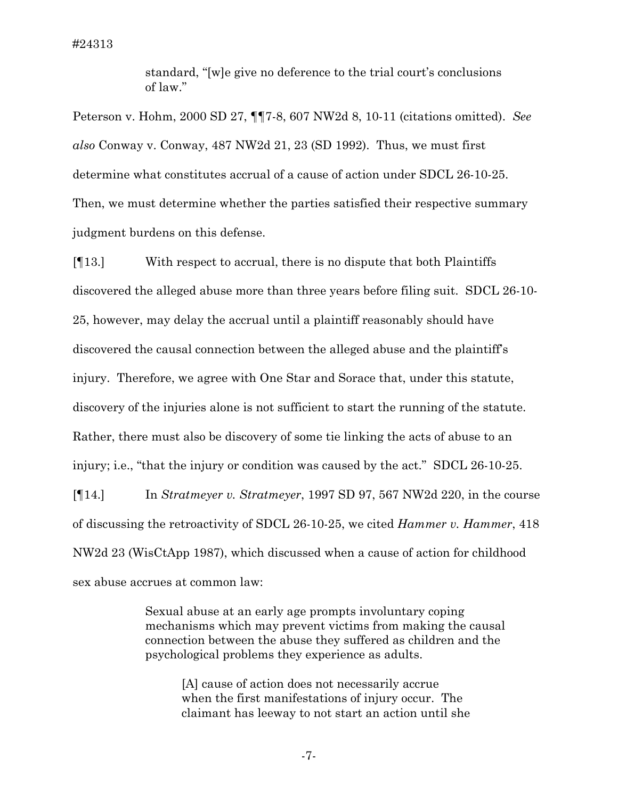#24313

standard, "[w]e give no deference to the trial court's conclusions of law."

Peterson v. Hohm, 2000 SD 27, ¶¶7-8, 607 NW2d 8, 10-11 (citations omitted). *See also* Conway v. Conway, 487 NW2d 21, 23 (SD 1992). Thus, we must first determine what constitutes accrual of a cause of action under SDCL 26-10-25. Then, we must determine whether the parties satisfied their respective summary judgment burdens on this defense.

[¶13.] With respect to accrual, there is no dispute that both Plaintiffs discovered the alleged abuse more than three years before filing suit. SDCL 26-10- 25, however, may delay the accrual until a plaintiff reasonably should have discovered the causal connection between the alleged abuse and the plaintiff's injury. Therefore, we agree with One Star and Sorace that, under this statute, discovery of the injuries alone is not sufficient to start the running of the statute. Rather, there must also be discovery of some tie linking the acts of abuse to an injury; i.e., "that the injury or condition was caused by the act." SDCL 26-10-25.

[¶14.] In *Stratmeyer v. Stratmeyer*, 1997 SD 97, 567 NW2d 220, in the course of discussing the retroactivity of SDCL 26-10-25, we cited *Hammer v. Hammer*, 418 NW2d 23 (WisCtApp 1987), which discussed when a cause of action for childhood sex abuse accrues at common law:

> Sexual abuse at an early age prompts involuntary coping mechanisms which may prevent victims from making the causal connection between the abuse they suffered as children and the psychological problems they experience as adults.

[A] cause of action does not necessarily accrue when the first manifestations of injury occur. The claimant has leeway to not start an action until she

-7-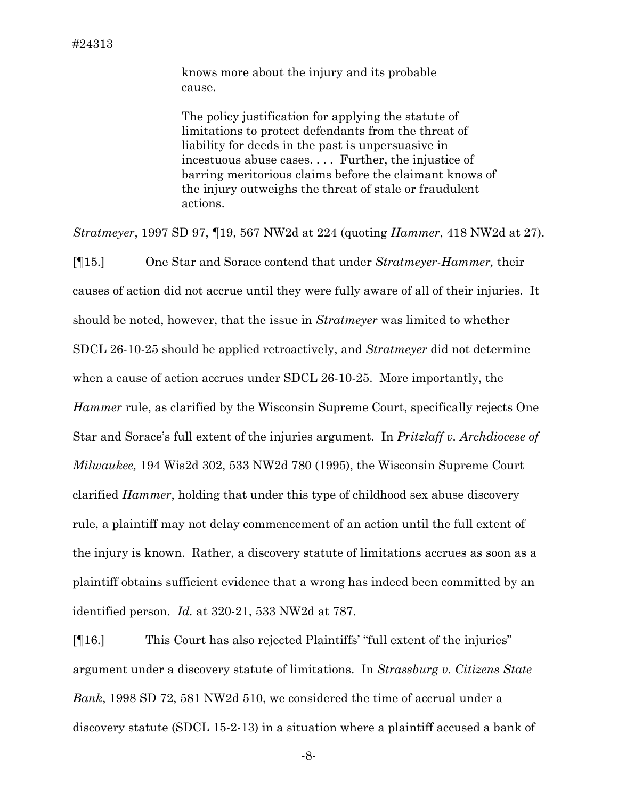knows more about the injury and its probable cause.

The policy justification for applying the statute of limitations to protect defendants from the threat of liability for deeds in the past is unpersuasive in incestuous abuse cases. . . . Further, the injustice of barring meritorious claims before the claimant knows of the injury outweighs the threat of stale or fraudulent actions.

*Stratmeyer*, 1997 SD 97, ¶19, 567 NW2d at 224 (quoting *Hammer*, 418 NW2d at 27).

[¶15.] One Star and Sorace contend that under *Stratmeyer*-*Hammer,* their causes of action did not accrue until they were fully aware of all of their injuries. It should be noted, however, that the issue in *Stratmeyer* was limited to whether SDCL 26-10-25 should be applied retroactively, and *Stratmeyer* did not determine when a cause of action accrues under SDCL 26-10-25. More importantly, the *Hammer* rule, as clarified by the Wisconsin Supreme Court, specifically rejects One Star and Sorace's full extent of the injuries argument. In *Pritzlaff v. Archdiocese of Milwaukee,* 194 Wis2d 302, 533 NW2d 780 (1995), the Wisconsin Supreme Court clarified *Hammer*, holding that under this type of childhood sex abuse discovery rule, a plaintiff may not delay commencement of an action until the full extent of the injury is known. Rather, a discovery statute of limitations accrues as soon as a plaintiff obtains sufficient evidence that a wrong has indeed been committed by an identified person. *Id.* at 320-21, 533 NW2d at 787.

[¶16.] This Court has also rejected Plaintiffs' "full extent of the injuries" argument under a discovery statute of limitations. In *Strassburg v. Citizens State Bank*, 1998 SD 72, 581 NW2d 510, we considered the time of accrual under a discovery statute (SDCL 15-2-13) in a situation where a plaintiff accused a bank of

-8-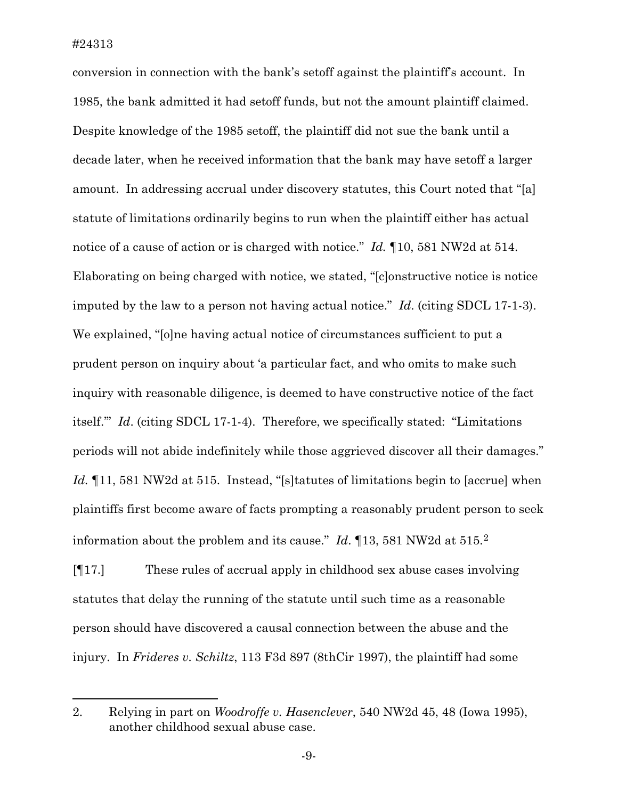$\overline{a}$ 

conversion in connection with the bank's setoff against the plaintiff's account. In 1985, the bank admitted it had setoff funds, but not the amount plaintiff claimed. Despite knowledge of the 1985 setoff, the plaintiff did not sue the bank until a decade later, when he received information that the bank may have setoff a larger amount. In addressing accrual under discovery statutes, this Court noted that "[a] statute of limitations ordinarily begins to run when the plaintiff either has actual notice of a cause of action or is charged with notice." *Id.* ¶10, 581 NW2d at 514. Elaborating on being charged with notice, we stated, "[c]onstructive notice is notice imputed by the law to a person not having actual notice." *Id*. (citing SDCL 17-1-3). We explained, "[o]ne having actual notice of circumstances sufficient to put a prudent person on inquiry about 'a particular fact, and who omits to make such inquiry with reasonable diligence, is deemed to have constructive notice of the fact itself.'" *Id*. (citing SDCL 17-1-4). Therefore, we specifically stated: "Limitations periods will not abide indefinitely while those aggrieved discover all their damages." Id. <sup>¶</sup>11, 581 NW2d at 515. Instead, "[s]tatutes of limitations begin to [accrue] when plaintiffs first become aware of facts prompting a reasonably prudent person to seek information about the problem and its cause." *Id*. ¶13, 581 NW2d at 515.[2](#page-9-0)

[¶17.] These rules of accrual apply in childhood sex abuse cases involving statutes that delay the running of the statute until such time as a reasonable person should have discovered a causal connection between the abuse and the injury. In *Frideres v. Schiltz*, 113 F3d 897 (8thCir 1997), the plaintiff had some

<span id="page-9-0"></span><sup>2.</sup> Relying in part on *Woodroffe v. Hasenclever*, 540 NW2d 45, 48 (Iowa 1995), another childhood sexual abuse case.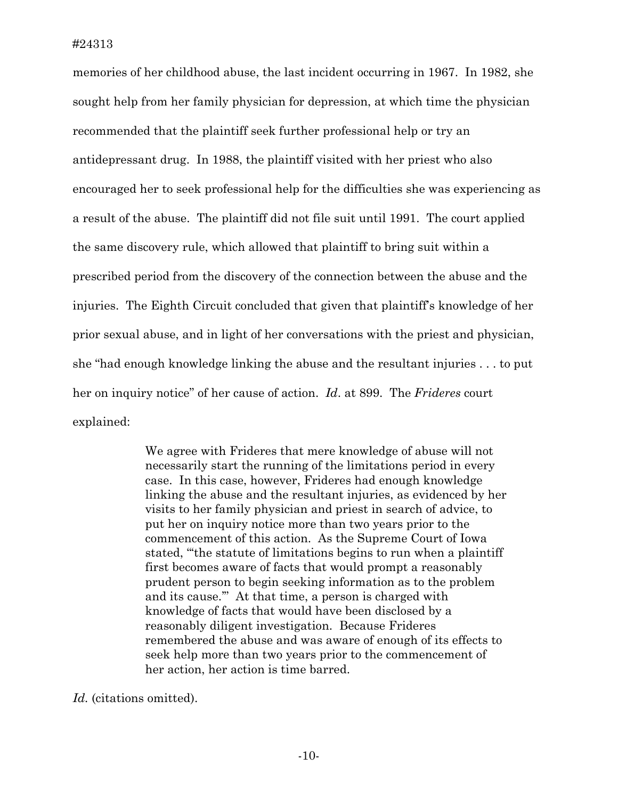memories of her childhood abuse, the last incident occurring in 1967. In 1982, she sought help from her family physician for depression, at which time the physician recommended that the plaintiff seek further professional help or try an antidepressant drug. In 1988, the plaintiff visited with her priest who also encouraged her to seek professional help for the difficulties she was experiencing as a result of the abuse. The plaintiff did not file suit until 1991. The court applied the same discovery rule, which allowed that plaintiff to bring suit within a prescribed period from the discovery of the connection between the abuse and the injuries. The Eighth Circuit concluded that given that plaintiff's knowledge of her prior sexual abuse, and in light of her conversations with the priest and physician, she "had enough knowledge linking the abuse and the resultant injuries . . . to put her on inquiry notice" of her cause of action. *Id*. at 899. The *Frideres* court explained:

> We agree with Frideres that mere knowledge of abuse will not necessarily start the running of the limitations period in every case. In this case, however, Frideres had enough knowledge linking the abuse and the resultant injuries, as evidenced by her visits to her family physician and priest in search of advice, to put her on inquiry notice more than two years prior to the commencement of this action. As the Supreme Court of Iowa stated, "'the statute of limitations begins to run when a plaintiff first becomes aware of facts that would prompt a reasonably prudent person to begin seeking information as to the problem and its cause.'" At that time, a person is charged with knowledge of facts that would have been disclosed by a reasonably diligent investigation. Because Frideres remembered the abuse and was aware of enough of its effects to seek help more than two years prior to the commencement of her action, her action is time barred.

*Id.* (citations omitted).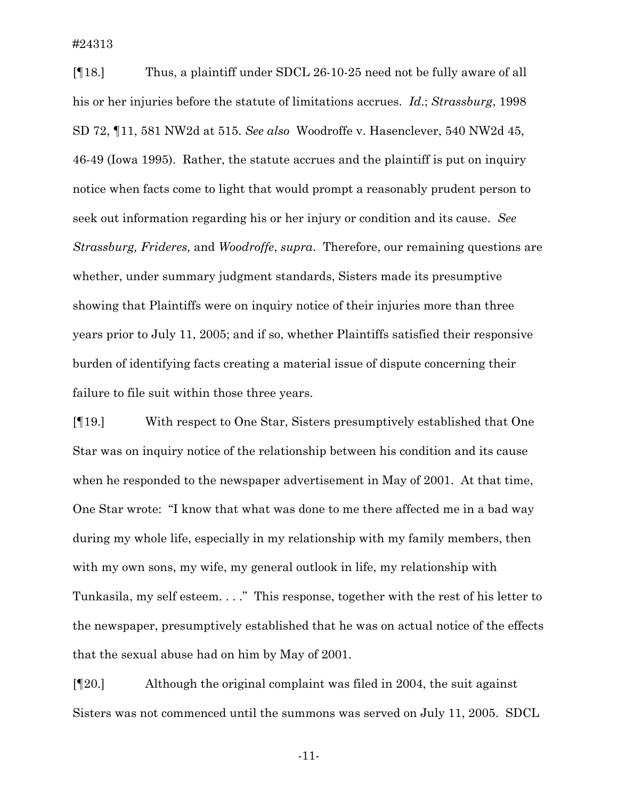#24313

[¶18.] Thus, a plaintiff under SDCL 26-10-25 need not be fully aware of all his or her injuries before the statute of limitations accrues. *Id*.; *Strassburg*, 1998 SD 72, ¶11, 581 NW2d at 515. *See also* Woodroffe v. Hasenclever, 540 NW2d 45, 46-49 (Iowa 1995). Rather, the statute accrues and the plaintiff is put on inquiry notice when facts come to light that would prompt a reasonably prudent person to seek out information regarding his or her injury or condition and its cause. *See Strassburg, Frideres,* and *Woodroffe*, *supra*. Therefore, our remaining questions are whether, under summary judgment standards, Sisters made its presumptive showing that Plaintiffs were on inquiry notice of their injuries more than three years prior to July 11, 2005; and if so, whether Plaintiffs satisfied their responsive burden of identifying facts creating a material issue of dispute concerning their failure to file suit within those three years.

[¶19.] With respect to One Star, Sisters presumptively established that One Star was on inquiry notice of the relationship between his condition and its cause when he responded to the newspaper advertisement in May of 2001. At that time, One Star wrote: "I know that what was done to me there affected me in a bad way during my whole life, especially in my relationship with my family members, then with my own sons, my wife, my general outlook in life, my relationship with Tunkasila, my self esteem. . . ." This response, together with the rest of his letter to the newspaper, presumptively established that he was on actual notice of the effects that the sexual abuse had on him by May of 2001.

[¶20.] Although the original complaint was filed in 2004, the suit against Sisters was not commenced until the summons was served on July 11, 2005. SDCL

-11-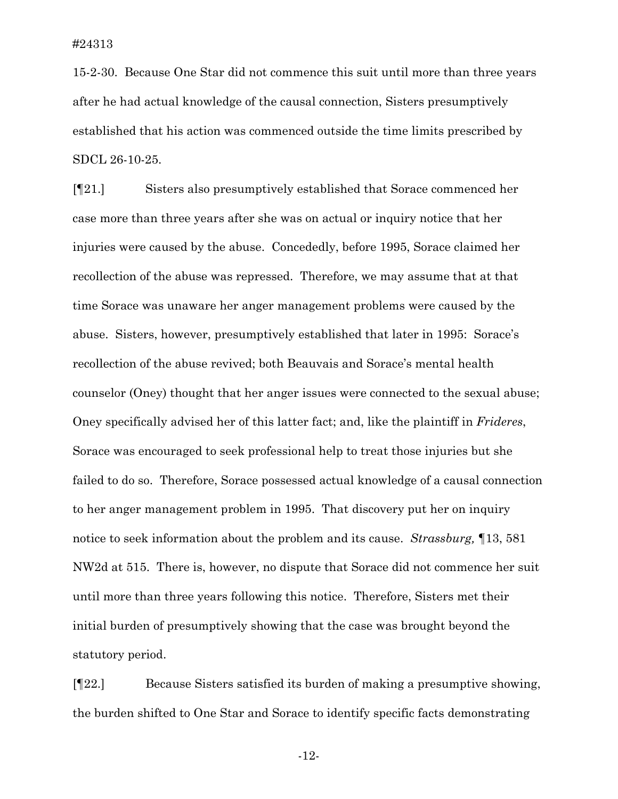15-2-30. Because One Star did not commence this suit until more than three years after he had actual knowledge of the causal connection, Sisters presumptively established that his action was commenced outside the time limits prescribed by SDCL 26-10-25.

[¶21.] Sisters also presumptively established that Sorace commenced her case more than three years after she was on actual or inquiry notice that her injuries were caused by the abuse. Concededly, before 1995, Sorace claimed her recollection of the abuse was repressed. Therefore, we may assume that at that time Sorace was unaware her anger management problems were caused by the abuse. Sisters, however, presumptively established that later in 1995: Sorace's recollection of the abuse revived; both Beauvais and Sorace's mental health counselor (Oney) thought that her anger issues were connected to the sexual abuse; Oney specifically advised her of this latter fact; and, like the plaintiff in *Frideres*, Sorace was encouraged to seek professional help to treat those injuries but she failed to do so. Therefore, Sorace possessed actual knowledge of a causal connection to her anger management problem in 1995. That discovery put her on inquiry notice to seek information about the problem and its cause. *Strassburg,* ¶13, 581 NW2d at 515. There is, however, no dispute that Sorace did not commence her suit until more than three years following this notice. Therefore, Sisters met their initial burden of presumptively showing that the case was brought beyond the statutory period.

[¶22.] Because Sisters satisfied its burden of making a presumptive showing, the burden shifted to One Star and Sorace to identify specific facts demonstrating

-12-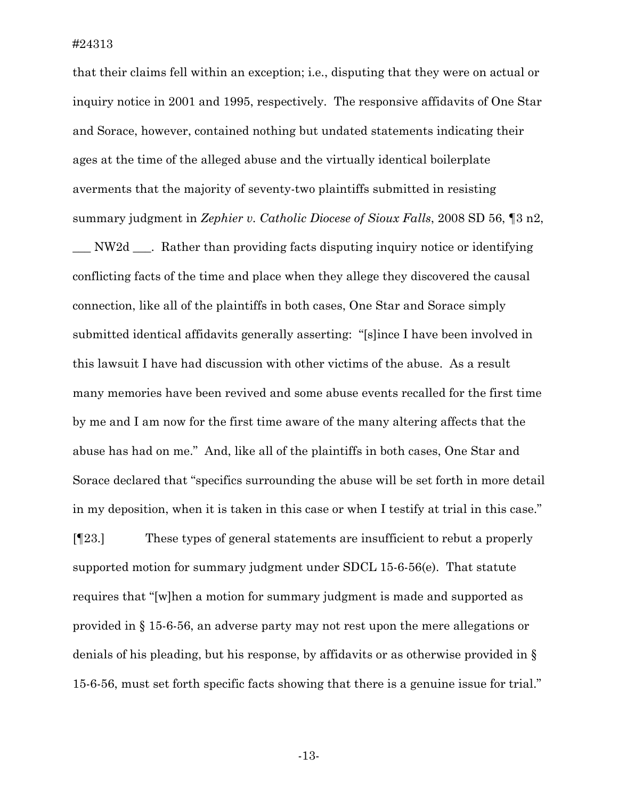that their claims fell within an exception; i.e., disputing that they were on actual or inquiry notice in 2001 and 1995, respectively. The responsive affidavits of One Star and Sorace, however, contained nothing but undated statements indicating their ages at the time of the alleged abuse and the virtually identical boilerplate averments that the majority of seventy-two plaintiffs submitted in resisting summary judgment in *Zephier v. Catholic Diocese of Sioux Falls*, 2008 SD 56, ¶3 n2,

\_\_\_ NW2d \_\_\_. Rather than providing facts disputing inquiry notice or identifying conflicting facts of the time and place when they allege they discovered the causal connection, like all of the plaintiffs in both cases, One Star and Sorace simply submitted identical affidavits generally asserting: "[s]ince I have been involved in this lawsuit I have had discussion with other victims of the abuse. As a result many memories have been revived and some abuse events recalled for the first time by me and I am now for the first time aware of the many altering affects that the abuse has had on me." And, like all of the plaintiffs in both cases, One Star and Sorace declared that "specifics surrounding the abuse will be set forth in more detail in my deposition, when it is taken in this case or when I testify at trial in this case."

[¶23.] These types of general statements are insufficient to rebut a properly supported motion for summary judgment under SDCL 15-6-56(e). That statute requires that "[w]hen a motion for summary judgment is made and supported as provided in § 15-6-56, an adverse party may not rest upon the mere allegations or denials of his pleading, but his response, by affidavits or as otherwise provided in § 15-6-56, must set forth specific facts showing that there is a genuine issue for trial."

-13-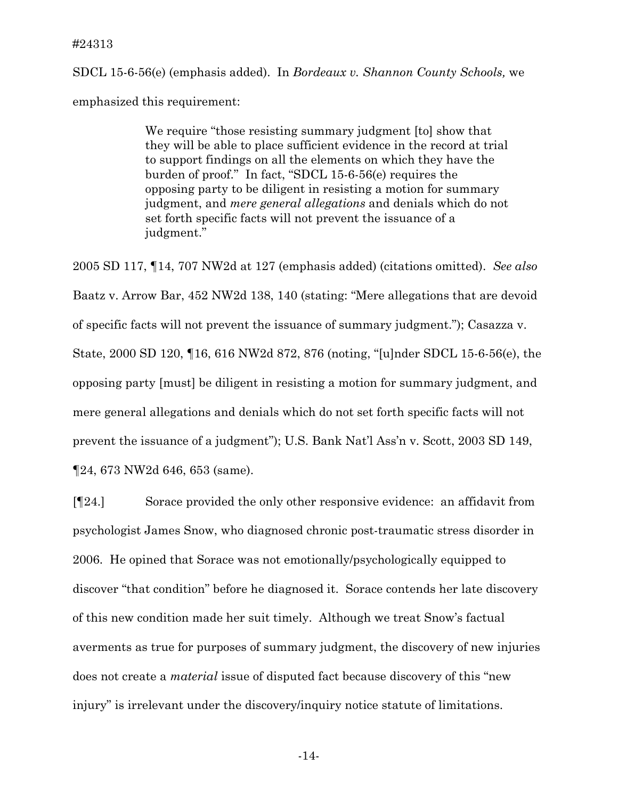SDCL 15-6-56(e) (emphasis added). In *Bordeaux v. Shannon County Schools,* we emphasized this requirement:

> We require "those resisting summary judgment [to] show that they will be able to place sufficient evidence in the record at trial to support findings on all the elements on which they have the burden of proof." In fact, "SDCL 15-6-56(e) requires the opposing party to be diligent in resisting a motion for summary judgment, and *mere general allegations* and denials which do not set forth specific facts will not prevent the issuance of a judgment."

2005 SD 117, ¶14, 707 NW2d at 127 (emphasis added) (citations omitted). *See also* Baatz v. Arrow Bar, 452 NW2d 138, 140 (stating: "Mere allegations that are devoid of specific facts will not prevent the issuance of summary judgment."); Casazza v. State, 2000 SD 120, ¶16, 616 NW2d 872, 876 (noting, "[u]nder SDCL 15-6-56(e), the opposing party [must] be diligent in resisting a motion for summary judgment, and mere general allegations and denials which do not set forth specific facts will not prevent the issuance of a judgment"); U.S. Bank Nat'l Ass'n v. Scott, 2003 SD 149, ¶24, 673 NW2d 646, 653 (same).

[¶24.] Sorace provided the only other responsive evidence: an affidavit from psychologist James Snow, who diagnosed chronic post-traumatic stress disorder in 2006. He opined that Sorace was not emotionally/psychologically equipped to discover "that condition" before he diagnosed it. Sorace contends her late discovery of this new condition made her suit timely. Although we treat Snow's factual averments as true for purposes of summary judgment, the discovery of new injuries does not create a *material* issue of disputed fact because discovery of this "new injury" is irrelevant under the discovery/inquiry notice statute of limitations.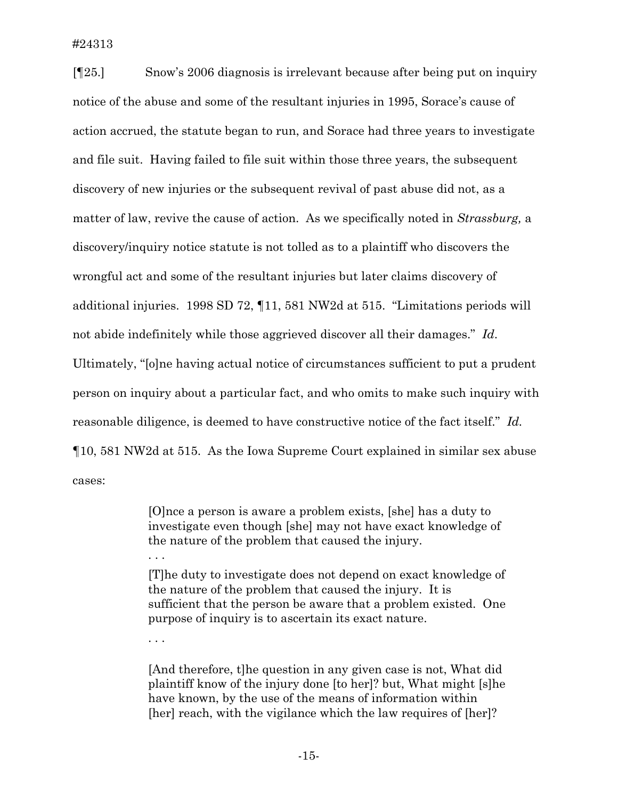#24313

[¶25.] Snow's 2006 diagnosis is irrelevant because after being put on inquiry notice of the abuse and some of the resultant injuries in 1995, Sorace's cause of action accrued, the statute began to run, and Sorace had three years to investigate and file suit. Having failed to file suit within those three years, the subsequent discovery of new injuries or the subsequent revival of past abuse did not, as a matter of law, revive the cause of action. As we specifically noted in *Strassburg,* a discovery/inquiry notice statute is not tolled as to a plaintiff who discovers the wrongful act and some of the resultant injuries but later claims discovery of additional injuries. 1998 SD 72, ¶11, 581 NW2d at 515. "Limitations periods will not abide indefinitely while those aggrieved discover all their damages." *Id*. Ultimately, "[o]ne having actual notice of circumstances sufficient to put a prudent person on inquiry about a particular fact, and who omits to make such inquiry with reasonable diligence, is deemed to have constructive notice of the fact itself." *Id.* ¶10, 581 NW2d at 515. As the Iowa Supreme Court explained in similar sex abuse cases:

> [O]nce a person is aware a problem exists, [she] has a duty to investigate even though [she] may not have exact knowledge of the nature of the problem that caused the injury. . . .

[T]he duty to investigate does not depend on exact knowledge of the nature of the problem that caused the injury. It is sufficient that the person be aware that a problem existed. One purpose of inquiry is to ascertain its exact nature.

. . .

[And therefore, t]he question in any given case is not, What did plaintiff know of the injury done [to her]? but, What might [s]he have known, by the use of the means of information within [her] reach, with the vigilance which the law requires of [her]?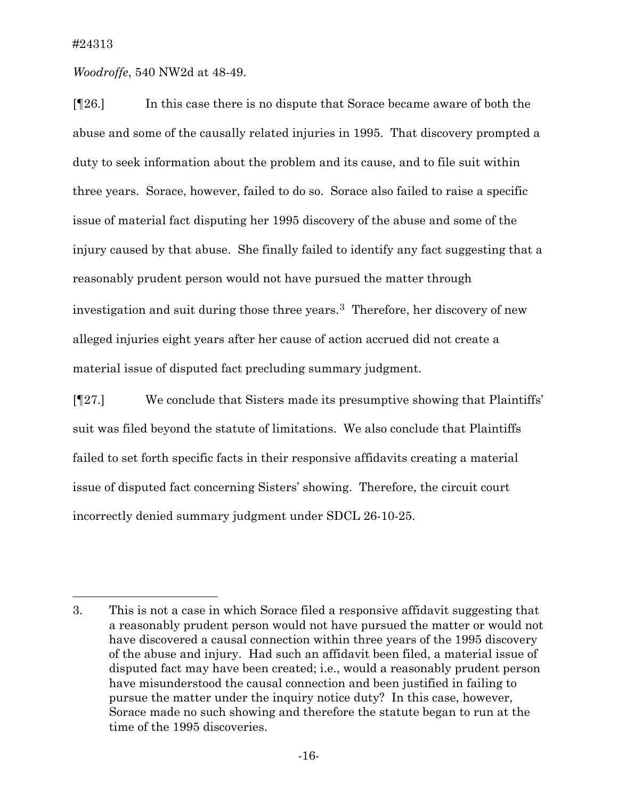$\overline{a}$ 

*Woodroffe*, 540 NW2d at 48-49.

[¶26.] In this case there is no dispute that Sorace became aware of both the abuse and some of the causally related injuries in 1995. That discovery prompted a duty to seek information about the problem and its cause, and to file suit within three years. Sorace, however, failed to do so. Sorace also failed to raise a specific issue of material fact disputing her 1995 discovery of the abuse and some of the injury caused by that abuse. She finally failed to identify any fact suggesting that a reasonably prudent person would not have pursued the matter through investigation and suit during those three years[.3](#page-16-0) Therefore, her discovery of new alleged injuries eight years after her cause of action accrued did not create a material issue of disputed fact precluding summary judgment.

[¶27.] We conclude that Sisters made its presumptive showing that Plaintiffs' suit was filed beyond the statute of limitations. We also conclude that Plaintiffs failed to set forth specific facts in their responsive affidavits creating a material issue of disputed fact concerning Sisters' showing. Therefore, the circuit court incorrectly denied summary judgment under SDCL 26-10-25.

<span id="page-16-0"></span><sup>3.</sup> This is not a case in which Sorace filed a responsive affidavit suggesting that a reasonably prudent person would not have pursued the matter or would not have discovered a causal connection within three years of the 1995 discovery of the abuse and injury. Had such an affidavit been filed, a material issue of disputed fact may have been created; i.e., would a reasonably prudent person have misunderstood the causal connection and been justified in failing to pursue the matter under the inquiry notice duty? In this case, however, Sorace made no such showing and therefore the statute began to run at the time of the 1995 discoveries.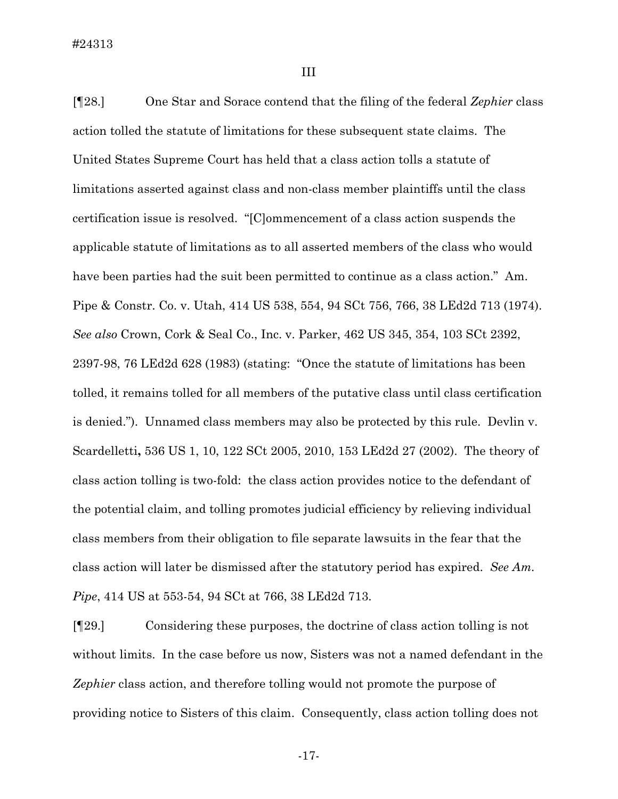III

[¶28.] One Star and Sorace contend that the filing of the federal *Zephier* class action tolled the statute of limitations for these subsequent state claims. The United States Supreme Court has held that a class action tolls a statute of limitations asserted against class and non-class member plaintiffs until the class certification issue is resolved. "[C]ommencement of a class action suspends the applicable statute of limitations as to all asserted members of the class who would have been parties had the suit been permitted to continue as a class action." Am. Pipe & Constr. Co. v. Utah, 414 US 538, 554, 94 SCt 756, 766, 38 LEd2d 713 (1974). *See also* Crown, Cork & Seal Co., Inc. v. Parker, 462 US 345, 354, 103 SCt 2392, 2397-98, 76 LEd2d 628 (1983) (stating: "Once the statute of limitations has been tolled, it remains tolled for all members of the putative class until class certification is denied."). Unnamed class members may also be protected by this rule. Devlin v. Scardelletti**,** 536 US 1, 10, 122 SCt 2005, 2010, 153 LEd2d 27 (2002). The theory of class action tolling is two-fold: the class action provides notice to the defendant of the potential claim, and tolling promotes judicial efficiency by relieving individual class members from their obligation to file separate lawsuits in the fear that the class action will later be dismissed after the statutory period has expired. *See Am. Pipe*, 414 US at 553-54, 94 SCt at 766, 38 LEd2d 713.

[¶29.] Considering these purposes, the doctrine of class action tolling is not without limits. In the case before us now, Sisters was not a named defendant in the *Zephier* class action, and therefore tolling would not promote the purpose of providing notice to Sisters of this claim. Consequently, class action tolling does not

-17-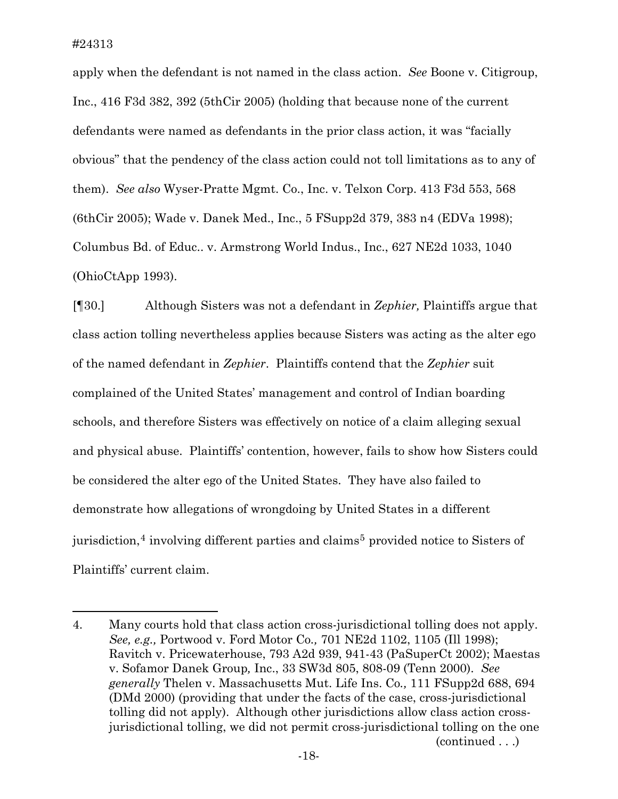<span id="page-18-1"></span> $\overline{a}$ 

apply when the defendant is not named in the class action. *See* Boone v. Citigroup, Inc., 416 F3d 382, 392 (5thCir 2005) (holding that because none of the current defendants were named as defendants in the prior class action, it was "facially obvious" that the pendency of the class action could not toll limitations as to any of them). *See also* Wyser-Pratte Mgmt. Co., Inc. v. Telxon Corp. 413 F3d 553, 568 (6thCir 2005); Wade v. Danek Med., Inc., 5 FSupp2d 379, 383 n4 (EDVa 1998); Columbus Bd. of Educ.. v. Armstrong World Indus., Inc., 627 NE2d 1033, 1040 (OhioCtApp 1993).

[¶30.] Although Sisters was not a defendant in *Zephier,* Plaintiffs argue that class action tolling nevertheless applies because Sisters was acting as the alter ego of the named defendant in *Zephier*. Plaintiffs contend that the *Zephier* suit complained of the United States' management and control of Indian boarding schools, and therefore Sisters was effectively on notice of a claim alleging sexual and physical abuse. Plaintiffs' contention, however, fails to show how Sisters could be considered the alter ego of the United States. They have also failed to demonstrate how allegations of wrongdoing by United States in a different jurisdiction,<sup>[4](#page-18-0)</sup> involving different parties and claims<sup>[5](#page-18-1)</sup> provided notice to Sisters of Plaintiffs' current claim.

<span id="page-18-0"></span><sup>4.</sup> Many courts hold that class action cross-jurisdictional tolling does not apply. *See, e.g.,* Portwood v. Ford Motor Co*.,* 701 NE2d 1102, 1105 (Ill 1998); Ravitch v. Pricewaterhouse, 793 A2d 939, 941-43 (PaSuperCt 2002); Maestas v. Sofamor Danek Group*,* Inc., 33 SW3d 805, 808-09 (Tenn 2000). *See generally* Thelen v. Massachusetts Mut. Life Ins. Co*.,* 111 FSupp2d 688, 694 (DMd 2000) (providing that under the facts of the case, cross-jurisdictional tolling did not apply). Although other jurisdictions allow class action crossjurisdictional tolling, we did not permit cross-jurisdictional tolling on the one (continued . . .)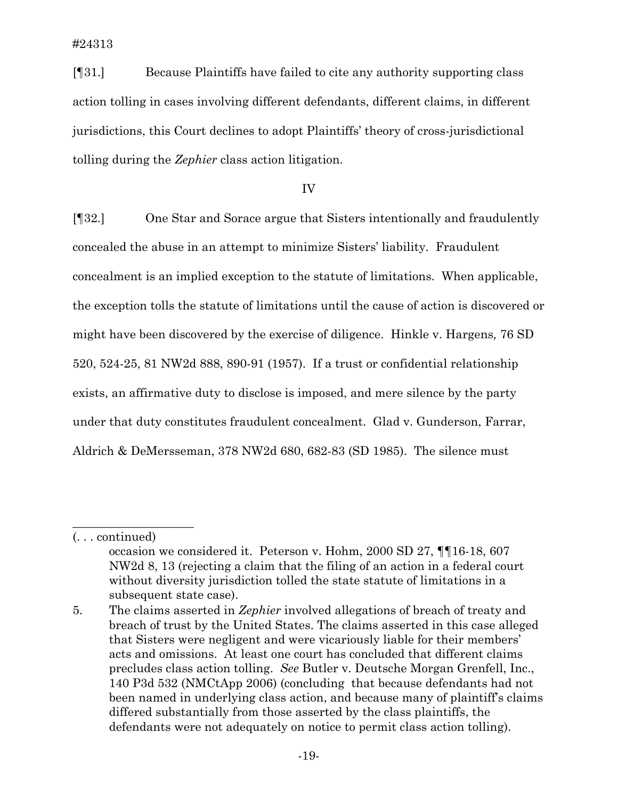#24313

[¶31.] Because Plaintiffs have failed to cite any authority supporting class action tolling in cases involving different defendants, different claims, in different jurisdictions, this Court declines to adopt Plaintiffs' theory of cross-jurisdictional tolling during the *Zephier* class action litigation.

IV

[¶32.] One Star and Sorace argue that Sisters intentionally and fraudulently concealed the abuse in an attempt to minimize Sisters' liability. Fraudulent concealment is an implied exception to the statute of limitations. When applicable, the exception tolls the statute of limitations until the cause of action is discovered or might have been discovered by the exercise of diligence. Hinkle v. Hargens*,* 76 SD 520, 524-25, 81 NW2d 888, 890-91 (1957). If a trust or confidential relationship exists, an affirmative duty to disclose is imposed, and mere silence by the party under that duty constitutes fraudulent concealment. Glad v. Gunderson, Farrar, Aldrich & DeMersseman, 378 NW2d 680, 682-83 (SD 1985). The silence must

\_\_\_\_\_\_\_\_\_\_\_\_\_\_\_\_\_\_\_\_

<sup>(. . .</sup> continued)

occasion we considered it. Peterson v. Hohm, 2000 SD 27, ¶¶16-18, 607 NW2d 8, 13 (rejecting a claim that the filing of an action in a federal court without diversity jurisdiction tolled the state statute of limitations in a subsequent state case).

<sup>5.</sup> The claims asserted in *Zephier* involved allegations of breach of treaty and breach of trust by the United States. The claims asserted in this case alleged that Sisters were negligent and were vicariously liable for their members' acts and omissions. At least one court has concluded that different claims precludes class action tolling. *See* Butler v. Deutsche Morgan Grenfell, Inc., 140 P3d 532 (NMCtApp 2006) (concluding that because defendants had not been named in underlying class action, and because many of plaintiff's claims differed substantially from those asserted by the class plaintiffs, the defendants were not adequately on notice to permit class action tolling).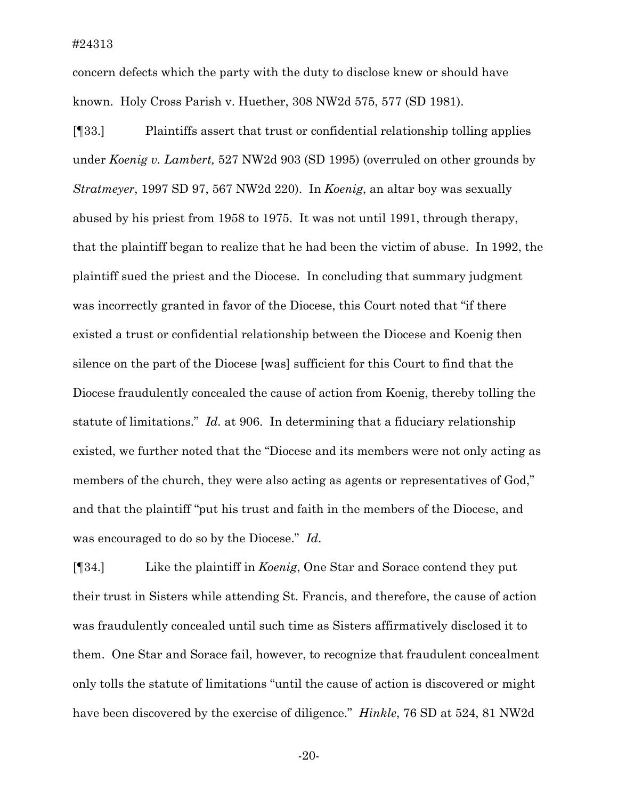concern defects which the party with the duty to disclose knew or should have known. Holy Cross Parish v. Huether, 308 NW2d 575, 577 (SD 1981).

[¶33.] Plaintiffs assert that trust or confidential relationship tolling applies under *Koenig v. Lambert,* 527 NW2d 903 (SD 1995) (overruled on other grounds by *Stratmeyer*, 1997 SD 97, 567 NW2d 220). In *Koenig*, an altar boy was sexually abused by his priest from 1958 to 1975. It was not until 1991, through therapy, that the plaintiff began to realize that he had been the victim of abuse. In 1992, the plaintiff sued the priest and the Diocese. In concluding that summary judgment was incorrectly granted in favor of the Diocese, this Court noted that "if there existed a trust or confidential relationship between the Diocese and Koenig then silence on the part of the Diocese [was] sufficient for this Court to find that the Diocese fraudulently concealed the cause of action from Koenig, thereby tolling the statute of limitations." *Id.* at 906. In determining that a fiduciary relationship existed, we further noted that the "Diocese and its members were not only acting as members of the church, they were also acting as agents or representatives of God," and that the plaintiff "put his trust and faith in the members of the Diocese, and was encouraged to do so by the Diocese." *Id*.

[¶34.] Like the plaintiff in *Koenig*, One Star and Sorace contend they put their trust in Sisters while attending St. Francis, and therefore, the cause of action was fraudulently concealed until such time as Sisters affirmatively disclosed it to them. One Star and Sorace fail, however, to recognize that fraudulent concealment only tolls the statute of limitations "until the cause of action is discovered or might have been discovered by the exercise of diligence." *Hinkle*, 76 SD at 524, 81 NW2d

-20-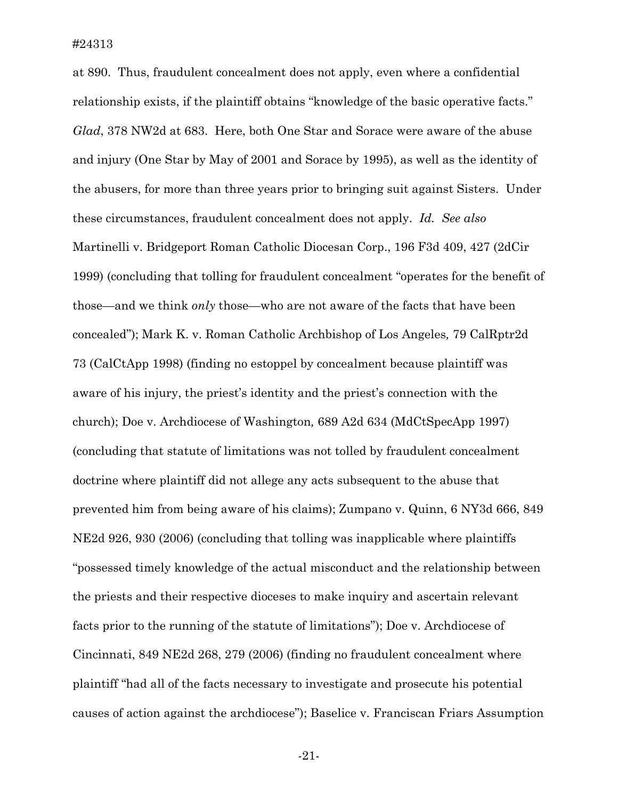at 890. Thus, fraudulent concealment does not apply, even where a confidential relationship exists, if the plaintiff obtains "knowledge of the basic operative facts." *Glad*, 378 NW2d at 683. Here, both One Star and Sorace were aware of the abuse and injury (One Star by May of 2001 and Sorace by 1995), as well as the identity of the abusers, for more than three years prior to bringing suit against Sisters. Under these circumstances, fraudulent concealment does not apply. *Id. See also* Martinelli v. Bridgeport Roman Catholic Diocesan Corp., 196 F3d 409, 427 (2dCir 1999) (concluding that tolling for fraudulent concealment "operates for the benefit of those—and we think *only* those—who are not aware of the facts that have been concealed"); Mark K. v. Roman Catholic Archbishop of Los Angeles*,* 79 CalRptr2d 73 (CalCtApp 1998) (finding no estoppel by concealment because plaintiff was aware of his injury, the priest's identity and the priest's connection with the church); Doe v. Archdiocese of Washington*,* 689 A2d 634 (MdCtSpecApp 1997) (concluding that statute of limitations was not tolled by fraudulent concealment doctrine where plaintiff did not allege any acts subsequent to the abuse that prevented him from being aware of his claims); Zumpano v. Quinn, 6 NY3d 666, 849 NE2d 926, 930 (2006) (concluding that tolling was inapplicable where plaintiffs "possessed timely knowledge of the actual misconduct and the relationship between the priests and their respective dioceses to make inquiry and ascertain relevant facts prior to the running of the statute of limitations"); Doe v. Archdiocese of Cincinnati, 849 NE2d 268, 279 (2006) (finding no fraudulent concealment where plaintiff "had all of the facts necessary to investigate and prosecute his potential causes of action against the archdiocese"); Baselice v. Franciscan Friars Assumption

-21-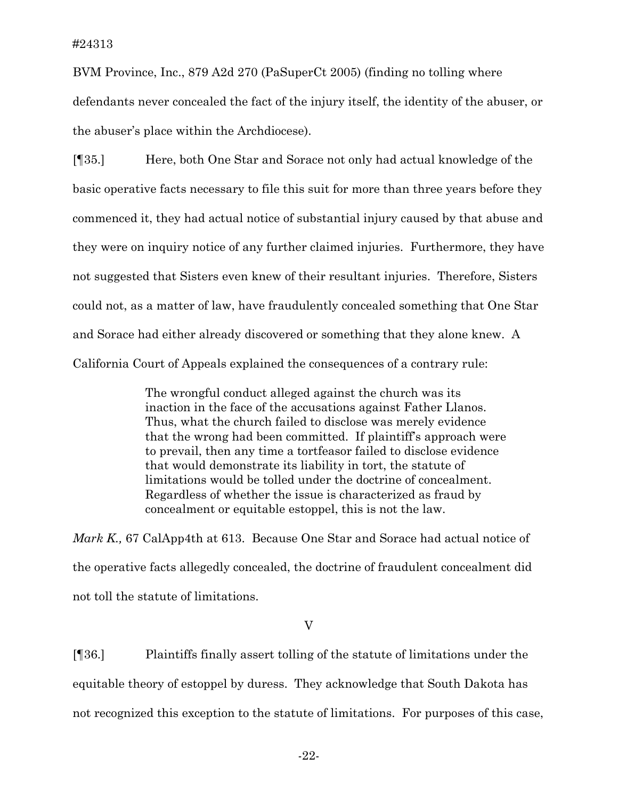BVM Province, Inc., 879 A2d 270 (PaSuperCt 2005) (finding no tolling where defendants never concealed the fact of the injury itself, the identity of the abuser, or the abuser's place within the Archdiocese).

[¶35.] Here, both One Star and Sorace not only had actual knowledge of the basic operative facts necessary to file this suit for more than three years before they commenced it, they had actual notice of substantial injury caused by that abuse and they were on inquiry notice of any further claimed injuries. Furthermore, they have not suggested that Sisters even knew of their resultant injuries. Therefore, Sisters could not, as a matter of law, have fraudulently concealed something that One Star and Sorace had either already discovered or something that they alone knew. A California Court of Appeals explained the consequences of a contrary rule:

> The wrongful conduct alleged against the church was its inaction in the face of the accusations against Father Llanos. Thus, what the church failed to disclose was merely evidence that the wrong had been committed. If plaintiff's approach were to prevail, then any time a tortfeasor failed to disclose evidence that would demonstrate its liability in tort, the statute of limitations would be tolled under the doctrine of concealment. Regardless of whether the issue is characterized as fraud by concealment or equitable estoppel, this is not the law.

*Mark K.,* 67 CalApp4th at 613. Because One Star and Sorace had actual notice of the operative facts allegedly concealed, the doctrine of fraudulent concealment did not toll the statute of limitations.

#### V

[¶36.] Plaintiffs finally assert tolling of the statute of limitations under the equitable theory of estoppel by duress. They acknowledge that South Dakota has not recognized this exception to the statute of limitations. For purposes of this case,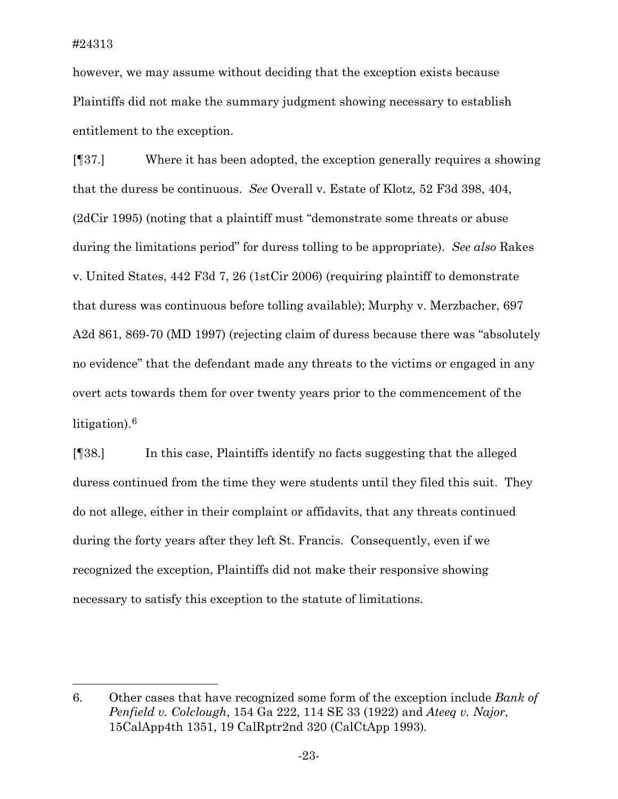$\overline{a}$ 

however, we may assume without deciding that the exception exists because Plaintiffs did not make the summary judgment showing necessary to establish entitlement to the exception.

[¶37.] Where it has been adopted, the exception generally requires a showing that the duress be continuous. *See* Overall v. Estate of Klotz*,* 52 F3d 398, 404, (2dCir 1995) (noting that a plaintiff must "demonstrate some threats or abuse during the limitations period" for duress tolling to be appropriate). *See also* Rakes v. United States, 442 F3d 7, 26 (1stCir 2006) (requiring plaintiff to demonstrate that duress was continuous before tolling available); Murphy v. Merzbacher, 697 A2d 861, 869-70 (MD 1997) (rejecting claim of duress because there was "absolutely no evidence" that the defendant made any threats to the victims or engaged in any overt acts towards them for over twenty years prior to the commencement of the litigation).[6](#page-23-0)

[¶38.] In this case, Plaintiffs identify no facts suggesting that the alleged duress continued from the time they were students until they filed this suit. They do not allege, either in their complaint or affidavits, that any threats continued during the forty years after they left St. Francis. Consequently, even if we recognized the exception, Plaintiffs did not make their responsive showing necessary to satisfy this exception to the statute of limitations.

<span id="page-23-0"></span><sup>6.</sup> Other cases that have recognized some form of the exception include *Bank of Penfield v. Colclough*, 154 Ga 222, 114 SE 33 (1922) and *Ateeq v. Najor*, 15CalApp4th 1351, 19 CalRptr2nd 320 (CalCtApp 1993)*.*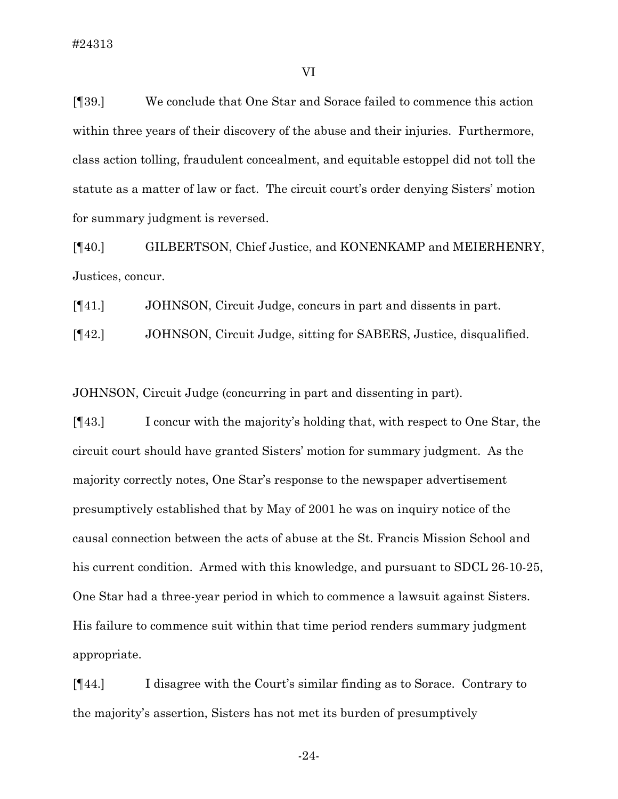[¶39.] We conclude that One Star and Sorace failed to commence this action within three years of their discovery of the abuse and their injuries. Furthermore, class action tolling, fraudulent concealment, and equitable estoppel did not toll the statute as a matter of law or fact. The circuit court's order denying Sisters' motion for summary judgment is reversed.

[¶40.] GILBERTSON, Chief Justice, and KONENKAMP and MEIERHENRY, Justices, concur.

[¶41.] JOHNSON, Circuit Judge, concurs in part and dissents in part.

[¶42.] JOHNSON, Circuit Judge, sitting for SABERS, Justice, disqualified.

JOHNSON, Circuit Judge (concurring in part and dissenting in part).

[¶43.] I concur with the majority's holding that, with respect to One Star, the circuit court should have granted Sisters' motion for summary judgment. As the majority correctly notes, One Star's response to the newspaper advertisement presumptively established that by May of 2001 he was on inquiry notice of the causal connection between the acts of abuse at the St. Francis Mission School and his current condition. Armed with this knowledge, and pursuant to SDCL 26-10-25, One Star had a three-year period in which to commence a lawsuit against Sisters. His failure to commence suit within that time period renders summary judgment appropriate.

[¶44.] I disagree with the Court's similar finding as to Sorace. Contrary to the majority's assertion, Sisters has not met its burden of presumptively

-24-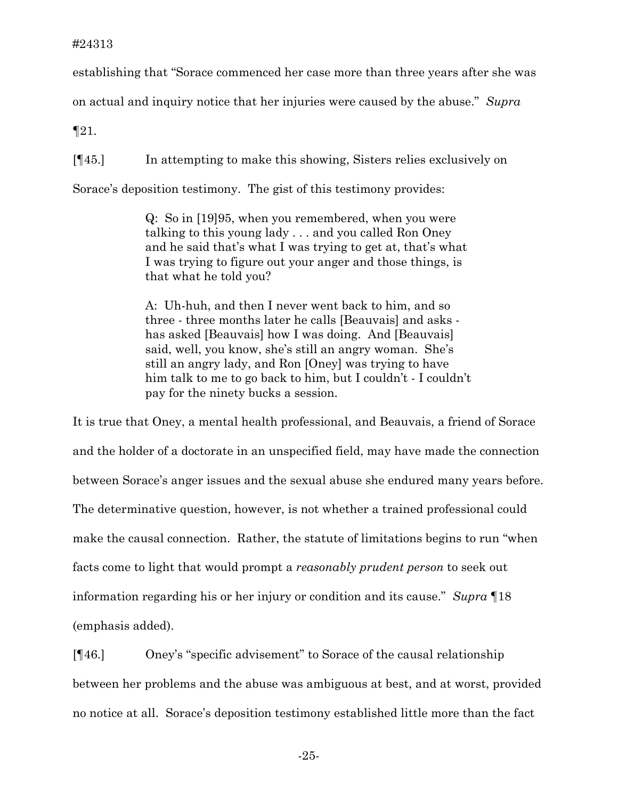#### #24313

establishing that "Sorace commenced her case more than three years after she was

on actual and inquiry notice that her injuries were caused by the abuse." *Supra*

¶21.

[¶45.] In attempting to make this showing, Sisters relies exclusively on

Sorace's deposition testimony. The gist of this testimony provides:

Q: So in [19]95, when you remembered, when you were talking to this young lady . . . and you called Ron Oney and he said that's what I was trying to get at, that's what I was trying to figure out your anger and those things, is that what he told you?

A: Uh-huh, and then I never went back to him, and so three - three months later he calls [Beauvais] and asks has asked [Beauvais] how I was doing. And [Beauvais] said, well, you know, she's still an angry woman. She's still an angry lady, and Ron [Oney] was trying to have him talk to me to go back to him, but I couldn't - I couldn't pay for the ninety bucks a session.

It is true that Oney, a mental health professional, and Beauvais, a friend of Sorace and the holder of a doctorate in an unspecified field, may have made the connection between Sorace's anger issues and the sexual abuse she endured many years before. The determinative question, however, is not whether a trained professional could make the causal connection. Rather, the statute of limitations begins to run "when facts come to light that would prompt a *reasonably prudent person* to seek out information regarding his or her injury or condition and its cause." *Supra* ¶18 (emphasis added).

[¶46.] Oney's "specific advisement" to Sorace of the causal relationship between her problems and the abuse was ambiguous at best, and at worst, provided no notice at all. Sorace's deposition testimony established little more than the fact

-25-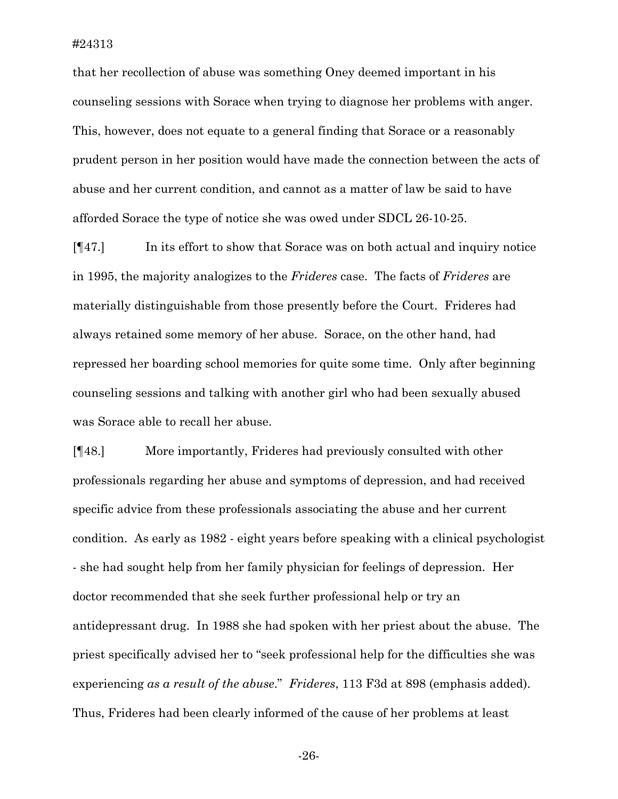that her recollection of abuse was something Oney deemed important in his counseling sessions with Sorace when trying to diagnose her problems with anger. This, however, does not equate to a general finding that Sorace or a reasonably prudent person in her position would have made the connection between the acts of abuse and her current condition, and cannot as a matter of law be said to have afforded Sorace the type of notice she was owed under SDCL 26-10-25.

[¶47.] In its effort to show that Sorace was on both actual and inquiry notice in 1995, the majority analogizes to the *Frideres* case. The facts of *Frideres* are materially distinguishable from those presently before the Court. Frideres had always retained some memory of her abuse. Sorace, on the other hand, had repressed her boarding school memories for quite some time. Only after beginning counseling sessions and talking with another girl who had been sexually abused was Sorace able to recall her abuse.

[¶48.] More importantly, Frideres had previously consulted with other professionals regarding her abuse and symptoms of depression, and had received specific advice from these professionals associating the abuse and her current condition. As early as 1982 - eight years before speaking with a clinical psychologist - she had sought help from her family physician for feelings of depression. Her doctor recommended that she seek further professional help or try an antidepressant drug. In 1988 she had spoken with her priest about the abuse. The priest specifically advised her to "seek professional help for the difficulties she was experiencing *as a result of the abuse*." *Frideres*, 113 F3d at 898 (emphasis added). Thus, Frideres had been clearly informed of the cause of her problems at least

-26-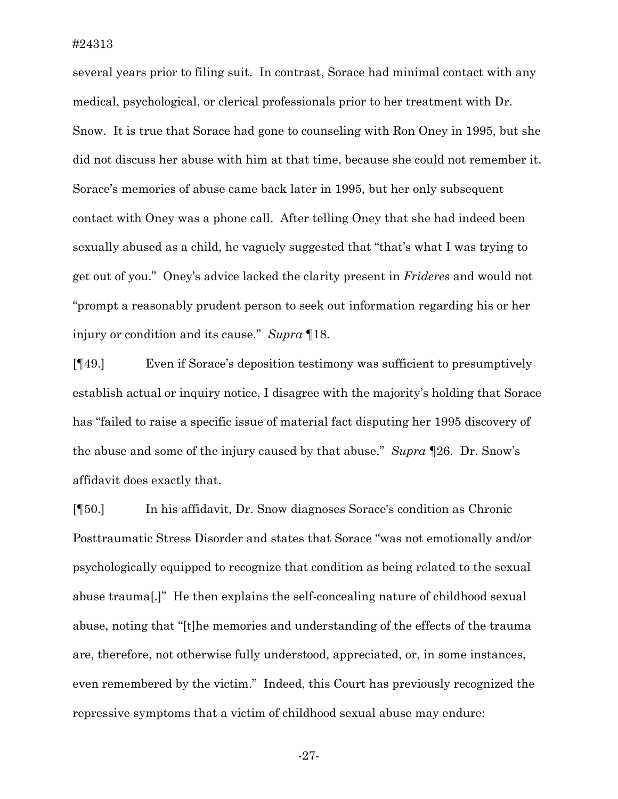several years prior to filing suit. In contrast, Sorace had minimal contact with any medical, psychological, or clerical professionals prior to her treatment with Dr. Snow. It is true that Sorace had gone to counseling with Ron Oney in 1995, but she did not discuss her abuse with him at that time, because she could not remember it. Sorace's memories of abuse came back later in 1995, but her only subsequent contact with Oney was a phone call. After telling Oney that she had indeed been sexually abused as a child, he vaguely suggested that "that's what I was trying to get out of you." Oney's advice lacked the clarity present in *Frideres* and would not "prompt a reasonably prudent person to seek out information regarding his or her injury or condition and its cause." *Supra* ¶18.

[¶49.] Even if Sorace's deposition testimony was sufficient to presumptively establish actual or inquiry notice, I disagree with the majority's holding that Sorace has "failed to raise a specific issue of material fact disputing her 1995 discovery of the abuse and some of the injury caused by that abuse." *Supra* ¶26. Dr. Snow's affidavit does exactly that.

[¶50.] In his affidavit, Dr. Snow diagnoses Sorace's condition as Chronic Posttraumatic Stress Disorder and states that Sorace "was not emotionally and/or psychologically equipped to recognize that condition as being related to the sexual abuse trauma[.]" He then explains the self-concealing nature of childhood sexual abuse, noting that "[t]he memories and understanding of the effects of the trauma are, therefore, not otherwise fully understood, appreciated, or, in some instances, even remembered by the victim." Indeed, this Court has previously recognized the repressive symptoms that a victim of childhood sexual abuse may endure:

-27-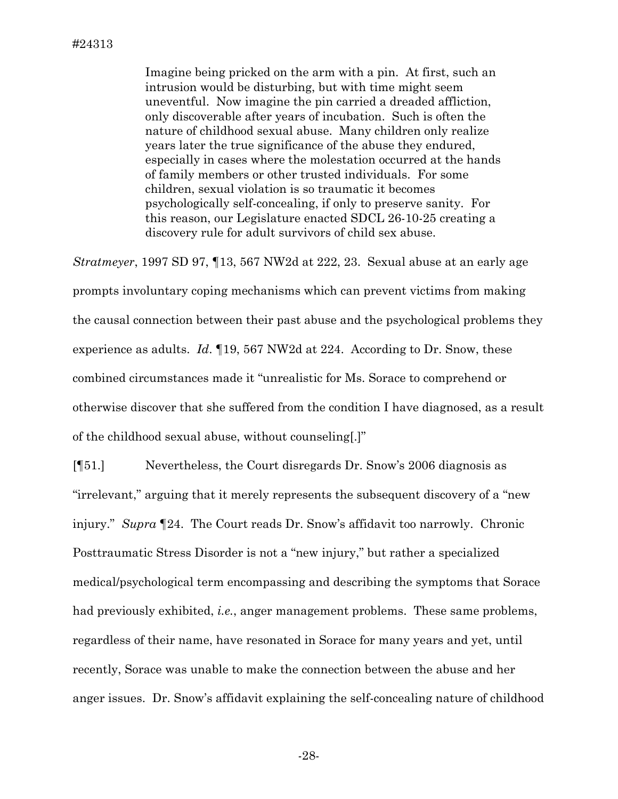Imagine being pricked on the arm with a pin. At first, such an intrusion would be disturbing, but with time might seem uneventful. Now imagine the pin carried a dreaded affliction, only discoverable after years of incubation. Such is often the nature of childhood sexual abuse. Many children only realize years later the true significance of the abuse they endured, especially in cases where the molestation occurred at the hands of family members or other trusted individuals. For some children, sexual violation is so traumatic it becomes psychologically self-concealing, if only to preserve sanity. For this reason, our Legislature enacted SDCL 26-10-25 creating a discovery rule for adult survivors of child sex abuse.

*Stratmeyer*, 1997 SD 97, ¶13, 567 NW2d at 222, 23. Sexual abuse at an early age prompts involuntary coping mechanisms which can prevent victims from making the causal connection between their past abuse and the psychological problems they experience as adults. *Id*. ¶19, 567 NW2d at 224. According to Dr. Snow, these combined circumstances made it "unrealistic for Ms. Sorace to comprehend or otherwise discover that she suffered from the condition I have diagnosed, as a result of the childhood sexual abuse, without counseling[.]"

[¶51.] Nevertheless, the Court disregards Dr. Snow's 2006 diagnosis as "irrelevant," arguing that it merely represents the subsequent discovery of a "new injury." *Supra* ¶24. The Court reads Dr. Snow's affidavit too narrowly. Chronic Posttraumatic Stress Disorder is not a "new injury," but rather a specialized medical/psychological term encompassing and describing the symptoms that Sorace had previously exhibited, *i.e.*, anger management problems. These same problems, regardless of their name, have resonated in Sorace for many years and yet, until recently, Sorace was unable to make the connection between the abuse and her anger issues. Dr. Snow's affidavit explaining the self-concealing nature of childhood

-28-